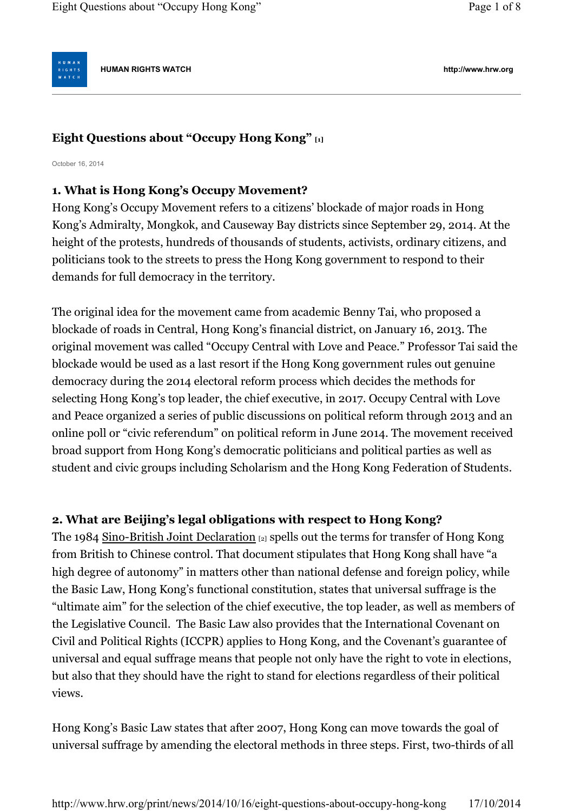**HUMAN RIGHTS WATCH http://www.hrw.org**

# **Eight Questions about "Occupy Hong Kong" [1]**

October 16, 2014

I G H T <mark>S</mark><br>/ A T C H

# **1. What is Hong Kong's Occupy Movement?**

Hong Kong's Occupy Movement refers to a citizens' blockade of major roads in Hong Kong's Admiralty, Mongkok, and Causeway Bay districts since September 29, 2014. At the height of the protests, hundreds of thousands of students, activists, ordinary citizens, and politicians took to the streets to press the Hong Kong government to respond to their demands for full democracy in the territory.

The original idea for the movement came from academic Benny Tai, who proposed a blockade of roads in Central, Hong Kong's financial district, on January 16, 2013. The original movement was called "Occupy Central with Love and Peace." Professor Tai said the blockade would be used as a last resort if the Hong Kong government rules out genuine democracy during the 2014 electoral reform process which decides the methods for selecting Hong Kong's top leader, the chief executive, in 2017. Occupy Central with Love and Peace organized a series of public discussions on political reform through 2013 and an online poll or "civic referendum" on political reform in June 2014. The movement received broad support from Hong Kong's democratic politicians and political parties as well as student and civic groups including Scholarism and the Hong Kong Federation of Students.

# **2. What are Beijing's legal obligations with respect to Hong Kong?**

The 1984 Sino-British Joint Declaration [2] spells out the terms for transfer of Hong Kong from British to Chinese control. That document stipulates that Hong Kong shall have "a high degree of autonomy" in matters other than national defense and foreign policy, while the Basic Law, Hong Kong's functional constitution, states that universal suffrage is the "ultimate aim" for the selection of the chief executive, the top leader, as well as members of the Legislative Council. The Basic Law also provides that the International Covenant on Civil and Political Rights (ICCPR) applies to Hong Kong, and the Covenant's guarantee of universal and equal suffrage means that people not only have the right to vote in elections, but also that they should have the right to stand for elections regardless of their political views.

Hong Kong's Basic Law states that after 2007, Hong Kong can move towards the goal of universal suffrage by amending the electoral methods in three steps. First, two-thirds of all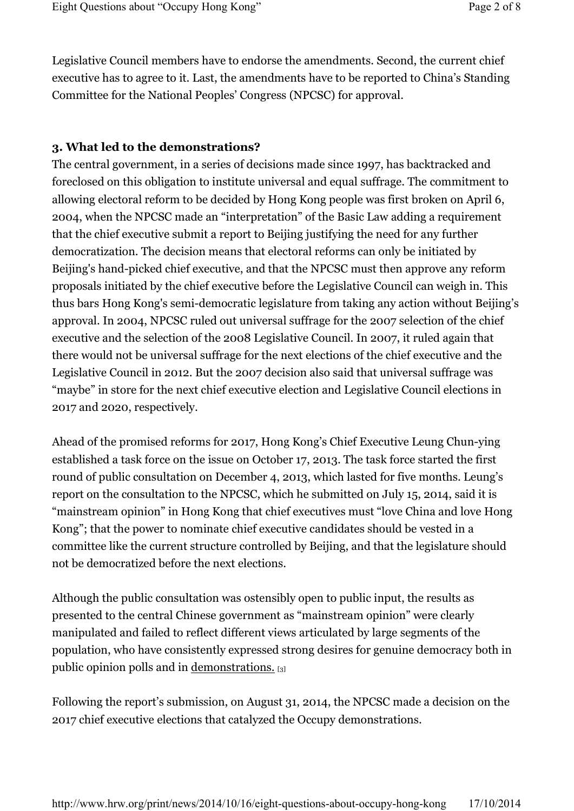Legislative Council members have to endorse the amendments. Second, the current chief executive has to agree to it. Last, the amendments have to be reported to China's Standing Committee for the National Peoples' Congress (NPCSC) for approval.

#### **3. What led to the demonstrations?**

The central government, in a series of decisions made since 1997, has backtracked and foreclosed on this obligation to institute universal and equal suffrage. The commitment to allowing electoral reform to be decided by Hong Kong people was first broken on April 6, 2004, when the NPCSC made an "interpretation" of the Basic Law adding a requirement that the chief executive submit a report to Beijing justifying the need for any further democratization. The decision means that electoral reforms can only be initiated by Beijing's hand-picked chief executive, and that the NPCSC must then approve any reform proposals initiated by the chief executive before the Legislative Council can weigh in. This thus bars Hong Kong's semi-democratic legislature from taking any action without Beijing's approval. In 2004, NPCSC ruled out universal suffrage for the 2007 selection of the chief executive and the selection of the 2008 Legislative Council. In 2007, it ruled again that there would not be universal suffrage for the next elections of the chief executive and the Legislative Council in 2012. But the 2007 decision also said that universal suffrage was "maybe" in store for the next chief executive election and Legislative Council elections in 2017 and 2020, respectively.

Ahead of the promised reforms for 2017, Hong Kong's Chief Executive Leung Chun-ying established a task force on the issue on October 17, 2013. The task force started the first round of public consultation on December 4, 2013, which lasted for five months. Leung's report on the consultation to the NPCSC, which he submitted on July 15, 2014, said it is "mainstream opinion" in Hong Kong that chief executives must "love China and love Hong Kong"; that the power to nominate chief executive candidates should be vested in a committee like the current structure controlled by Beijing, and that the legislature should not be democratized before the next elections.

Although the public consultation was ostensibly open to public input, the results as presented to the central Chinese government as "mainstream opinion" were clearly manipulated and failed to reflect different views articulated by large segments of the population, who have consistently expressed strong desires for genuine democracy both in public opinion polls and in demonstrations. [3]

Following the report's submission, on August 31, 2014, the NPCSC made a decision on the 2017 chief executive elections that catalyzed the Occupy demonstrations.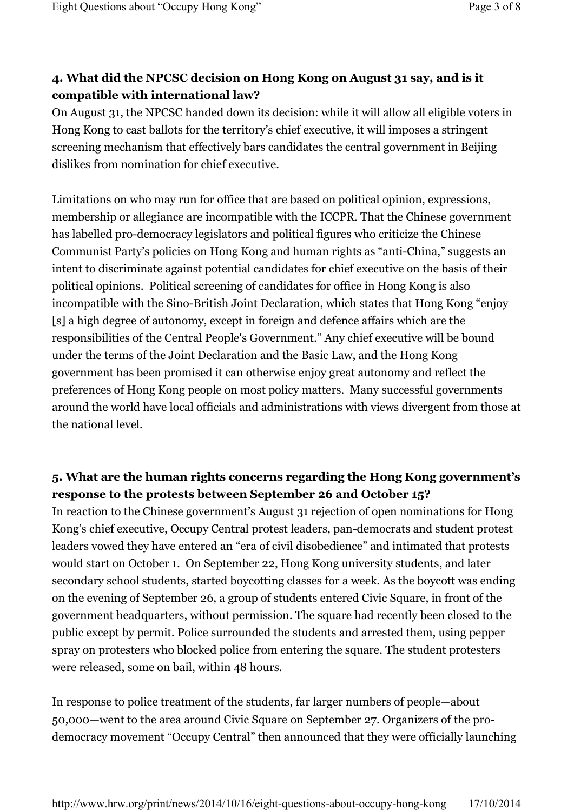# **4. What did the NPCSC decision on Hong Kong on August 31 say, and is it compatible with international law?**

On August 31, the NPCSC handed down its decision: while it will allow all eligible voters in Hong Kong to cast ballots for the territory's chief executive, it will imposes a stringent screening mechanism that effectively bars candidates the central government in Beijing dislikes from nomination for chief executive.

Limitations on who may run for office that are based on political opinion, expressions, membership or allegiance are incompatible with the ICCPR. That the Chinese government has labelled pro-democracy legislators and political figures who criticize the Chinese Communist Party's policies on Hong Kong and human rights as "anti-China," suggests an intent to discriminate against potential candidates for chief executive on the basis of their political opinions. Political screening of candidates for office in Hong Kong is also incompatible with the Sino-British Joint Declaration, which states that Hong Kong "enjoy [s] a high degree of autonomy, except in foreign and defence affairs which are the responsibilities of the Central People's Government." Any chief executive will be bound under the terms of the Joint Declaration and the Basic Law, and the Hong Kong government has been promised it can otherwise enjoy great autonomy and reflect the preferences of Hong Kong people on most policy matters. Many successful governments around the world have local officials and administrations with views divergent from those at the national level.

#### **5. What are the human rights concerns regarding the Hong Kong government's response to the protests between September 26 and October 15?**

In reaction to the Chinese government's August 31 rejection of open nominations for Hong Kong's chief executive, Occupy Central protest leaders, pan-democrats and student protest leaders vowed they have entered an "era of civil disobedience" and intimated that protests would start on October 1. On September 22, Hong Kong university students, and later secondary school students, started boycotting classes for a week. As the boycott was ending on the evening of September 26, a group of students entered Civic Square, in front of the government headquarters, without permission. The square had recently been closed to the public except by permit. Police surrounded the students and arrested them, using pepper spray on protesters who blocked police from entering the square. The student protesters were released, some on bail, within 48 hours.

In response to police treatment of the students, far larger numbers of people—about 50,000—went to the area around Civic Square on September 27. Organizers of the prodemocracy movement "Occupy Central" then announced that they were officially launching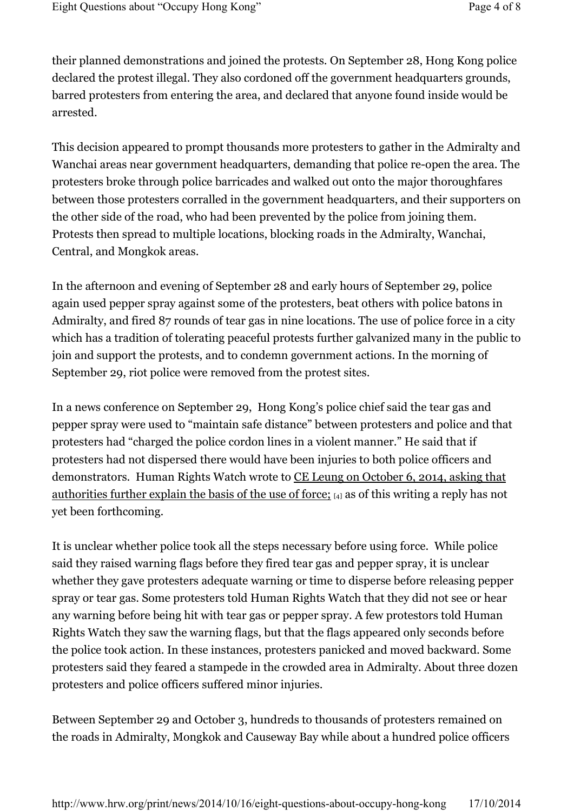their planned demonstrations and joined the protests. On September 28, Hong Kong police declared the protest illegal. They also cordoned off the government headquarters grounds, barred protesters from entering the area, and declared that anyone found inside would be arrested.

This decision appeared to prompt thousands more protesters to gather in the Admiralty and Wanchai areas near government headquarters, demanding that police re-open the area. The protesters broke through police barricades and walked out onto the major thoroughfares between those protesters corralled in the government headquarters, and their supporters on the other side of the road, who had been prevented by the police from joining them. Protests then spread to multiple locations, blocking roads in the Admiralty, Wanchai, Central, and Mongkok areas.

In the afternoon and evening of September 28 and early hours of September 29, police again used pepper spray against some of the protesters, beat others with police batons in Admiralty, and fired 87 rounds of tear gas in nine locations. The use of police force in a city which has a tradition of tolerating peaceful protests further galvanized many in the public to join and support the protests, and to condemn government actions. In the morning of September 29, riot police were removed from the protest sites.

In a news conference on September 29, Hong Kong's police chief said the tear gas and pepper spray were used to "maintain safe distance" between protesters and police and that protesters had "charged the police cordon lines in a violent manner." He said that if protesters had not dispersed there would have been injuries to both police officers and demonstrators. Human Rights Watch wrote to CE Leung on October 6, 2014, asking that authorities further explain the basis of the use of force; [4] as of this writing a reply has not yet been forthcoming.

It is unclear whether police took all the steps necessary before using force. While police said they raised warning flags before they fired tear gas and pepper spray, it is unclear whether they gave protesters adequate warning or time to disperse before releasing pepper spray or tear gas. Some protesters told Human Rights Watch that they did not see or hear any warning before being hit with tear gas or pepper spray. A few protestors told Human Rights Watch they saw the warning flags, but that the flags appeared only seconds before the police took action. In these instances, protesters panicked and moved backward. Some protesters said they feared a stampede in the crowded area in Admiralty. About three dozen protesters and police officers suffered minor injuries.

Between September 29 and October 3, hundreds to thousands of protesters remained on the roads in Admiralty, Mongkok and Causeway Bay while about a hundred police officers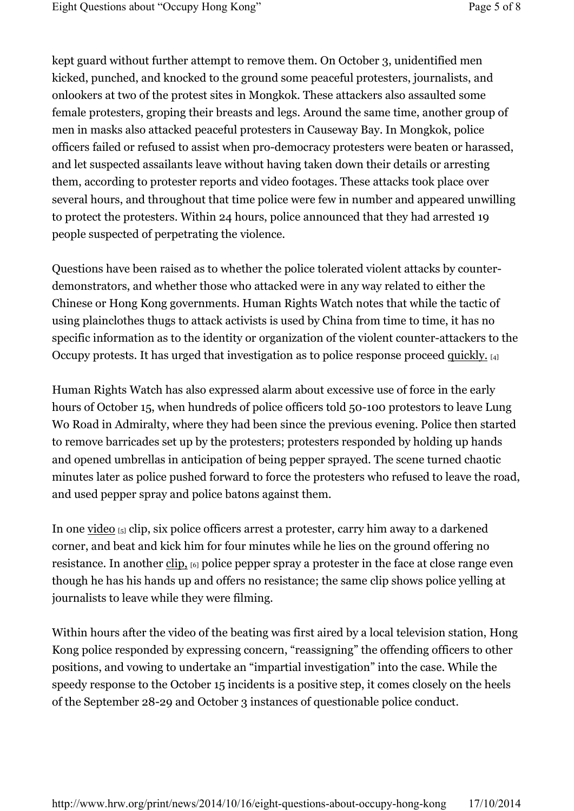kept guard without further attempt to remove them. On October 3, unidentified men kicked, punched, and knocked to the ground some peaceful protesters, journalists, and onlookers at two of the protest sites in Mongkok. These attackers also assaulted some female protesters, groping their breasts and legs. Around the same time, another group of men in masks also attacked peaceful protesters in Causeway Bay. In Mongkok, police officers failed or refused to assist when pro-democracy protesters were beaten or harassed, and let suspected assailants leave without having taken down their details or arresting them, according to protester reports and video footages. These attacks took place over several hours, and throughout that time police were few in number and appeared unwilling to protect the protesters. Within 24 hours, police announced that they had arrested 19 people suspected of perpetrating the violence.

Questions have been raised as to whether the police tolerated violent attacks by counterdemonstrators, and whether those who attacked were in any way related to either the Chinese or Hong Kong governments. Human Rights Watch notes that while the tactic of using plainclothes thugs to attack activists is used by China from time to time, it has no specific information as to the identity or organization of the violent counter-attackers to the Occupy protests. It has urged that investigation as to police response proceed quickly. [4]

Human Rights Watch has also expressed alarm about excessive use of force in the early hours of October 15, when hundreds of police officers told 50-100 protestors to leave Lung Wo Road in Admiralty, where they had been since the previous evening. Police then started to remove barricades set up by the protesters; protesters responded by holding up hands and opened umbrellas in anticipation of being pepper sprayed. The scene turned chaotic minutes later as police pushed forward to force the protesters who refused to leave the road, and used pepper spray and police batons against them.

In one video [5] clip, six police officers arrest a protester, carry him away to a darkened corner, and beat and kick him for four minutes while he lies on the ground offering no resistance. In another clip, [6] police pepper spray a protester in the face at close range even though he has his hands up and offers no resistance; the same clip shows police yelling at journalists to leave while they were filming.

Within hours after the video of the beating was first aired by a local television station, Hong Kong police responded by expressing concern, "reassigning" the offending officers to other positions, and vowing to undertake an "impartial investigation" into the case. While the speedy response to the October 15 incidents is a positive step, it comes closely on the heels of the September 28-29 and October 3 instances of questionable police conduct.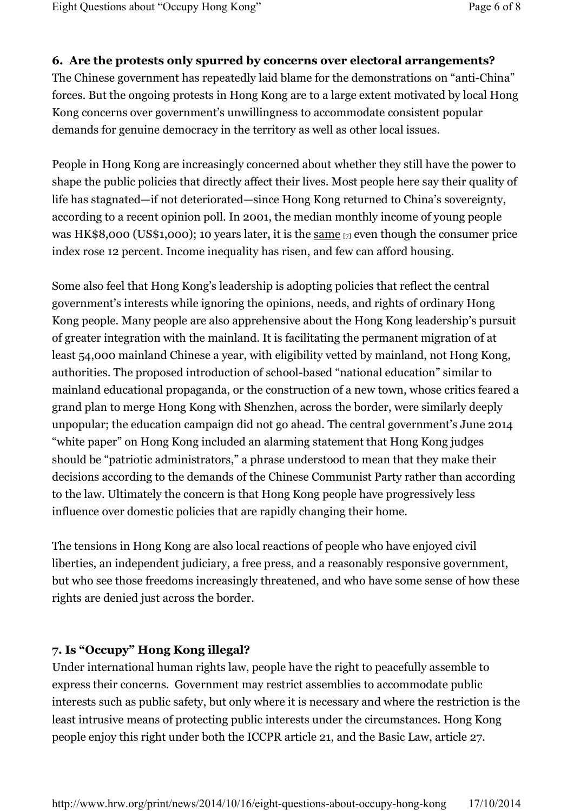#### **6. Are the protests only spurred by concerns over electoral arrangements?**

The Chinese government has repeatedly laid blame for the demonstrations on "anti-China" forces. But the ongoing protests in Hong Kong are to a large extent motivated by local Hong Kong concerns over government's unwillingness to accommodate consistent popular demands for genuine democracy in the territory as well as other local issues.

People in Hong Kong are increasingly concerned about whether they still have the power to shape the public policies that directly affect their lives. Most people here say their quality of life has stagnated—if not deteriorated—since Hong Kong returned to China's sovereignty, according to a recent opinion poll. In 2001, the median monthly income of young people was HK\$8,000 (US\$1,000); 10 years later, it is the same [7] even though the consumer price index rose 12 percent. Income inequality has risen, and few can afford housing.

Some also feel that Hong Kong's leadership is adopting policies that reflect the central government's interests while ignoring the opinions, needs, and rights of ordinary Hong Kong people. Many people are also apprehensive about the Hong Kong leadership's pursuit of greater integration with the mainland. It is facilitating the permanent migration of at least 54,000 mainland Chinese a year, with eligibility vetted by mainland, not Hong Kong, authorities. The proposed introduction of school-based "national education" similar to mainland educational propaganda, or the construction of a new town, whose critics feared a grand plan to merge Hong Kong with Shenzhen, across the border, were similarly deeply unpopular; the education campaign did not go ahead. The central government's June 2014 "white paper" on Hong Kong included an alarming statement that Hong Kong judges should be "patriotic administrators," a phrase understood to mean that they make their decisions according to the demands of the Chinese Communist Party rather than according to the law. Ultimately the concern is that Hong Kong people have progressively less influence over domestic policies that are rapidly changing their home.

The tensions in Hong Kong are also local reactions of people who have enjoyed civil liberties, an independent judiciary, a free press, and a reasonably responsive government, but who see those freedoms increasingly threatened, and who have some sense of how these rights are denied just across the border.

#### **7. Is "Occupy" Hong Kong illegal?**

Under international human rights law, people have the right to peacefully assemble to express their concerns. Government may restrict assemblies to accommodate public interests such as public safety, but only where it is necessary and where the restriction is the least intrusive means of protecting public interests under the circumstances. Hong Kong people enjoy this right under both the ICCPR article 21, and the Basic Law, article 27.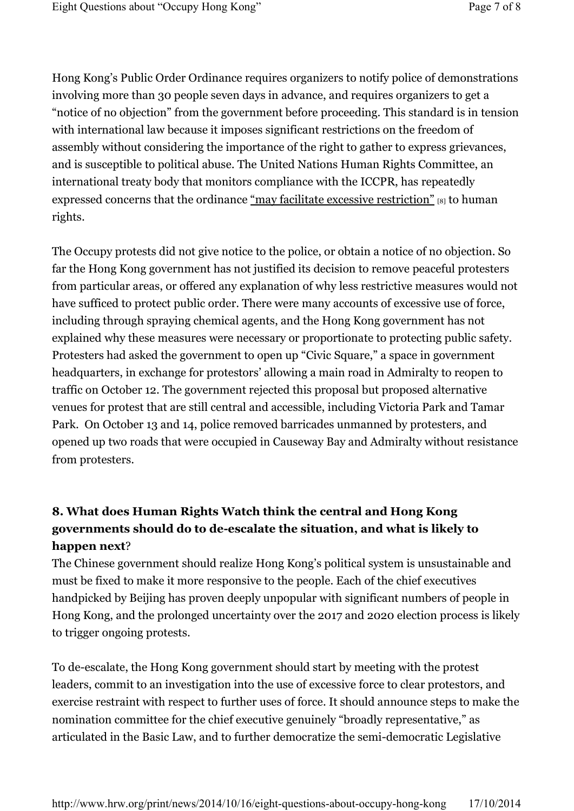Hong Kong's Public Order Ordinance requires organizers to notify police of demonstrations involving more than 30 people seven days in advance, and requires organizers to get a "notice of no objection" from the government before proceeding. This standard is in tension with international law because it imposes significant restrictions on the freedom of assembly without considering the importance of the right to gather to express grievances, and is susceptible to political abuse. The United Nations Human Rights Committee, an international treaty body that monitors compliance with the ICCPR, has repeatedly expressed concerns that the ordinance "may facilitate excessive restriction" [8] to human rights.

The Occupy protests did not give notice to the police, or obtain a notice of no objection. So far the Hong Kong government has not justified its decision to remove peaceful protesters from particular areas, or offered any explanation of why less restrictive measures would not have sufficed to protect public order. There were many accounts of excessive use of force, including through spraying chemical agents, and the Hong Kong government has not explained why these measures were necessary or proportionate to protecting public safety. Protesters had asked the government to open up "Civic Square," a space in government headquarters, in exchange for protestors' allowing a main road in Admiralty to reopen to traffic on October 12. The government rejected this proposal but proposed alternative venues for protest that are still central and accessible, including Victoria Park and Tamar Park. On October 13 and 14, police removed barricades unmanned by protesters, and opened up two roads that were occupied in Causeway Bay and Admiralty without resistance from protesters.

# **8. What does Human Rights Watch think the central and Hong Kong governments should do to de-escalate the situation, and what is likely to happen next**?

The Chinese government should realize Hong Kong's political system is unsustainable and must be fixed to make it more responsive to the people. Each of the chief executives handpicked by Beijing has proven deeply unpopular with significant numbers of people in Hong Kong, and the prolonged uncertainty over the 2017 and 2020 election process is likely to trigger ongoing protests.

To de-escalate, the Hong Kong government should start by meeting with the protest leaders, commit to an investigation into the use of excessive force to clear protestors, and exercise restraint with respect to further uses of force. It should announce steps to make the nomination committee for the chief executive genuinely "broadly representative," as articulated in the Basic Law, and to further democratize the semi-democratic Legislative